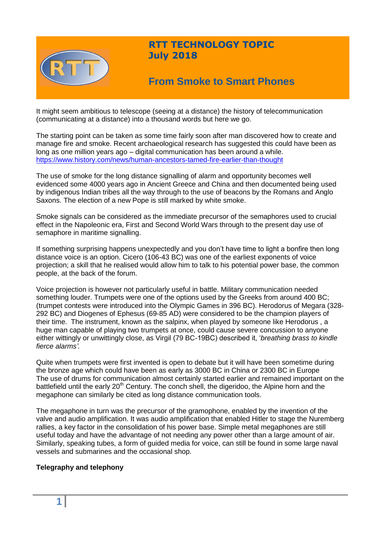

## **RTT TECHNOLOGY TOPIC July 2018**

# **From Smoke to Smart Phones**

It might seem ambitious to telescope (seeing at a distance) the history of telecommunication (communicating at a distance) into a thousand words but here we go.

The starting point can be taken as some time fairly soon after man discovered how to create and manage fire and smoke. Recent archaeological research has suggested this could have been as long as one million years ago – digital communication has been around a while. <https://www.history.com/news/human-ancestors-tamed-fire-earlier-than-thought>

The use of smoke for the long distance signalling of alarm and opportunity becomes well evidenced some 4000 years ago in Ancient Greece and China and then documented being used by indigenous Indian tribes all the way through to the use of beacons by the Romans and Anglo Saxons. The election of a new Pope is still marked by white smoke.

Smoke signals can be considered as the immediate precursor of the semaphores used to crucial effect in the Napoleonic era, First and Second World Wars through to the present day use of semaphore in maritime signalling.

If something surprising happens unexpectedly and you don't have time to light a bonfire then long distance voice is an option. Cicero (106-43 BC) was one of the earliest exponents of voice projection; a skill that he realised would allow him to talk to his potential power base, the common people, at the back of the forum.

Voice projection is however not particularly useful in battle. Military communication needed something louder. Trumpets were one of the options used by the Greeks from around 400 BC; (trumpet contests were introduced into the Olympic Games in 396 BC). Herodorus of Megara (328- 292 BC) and Diogenes of Ephesus (69-85 AD) were considered to be the champion players of their time. The instrument, known as the salpinx, when played by someone like Herodorus , a huge man capable of playing two trumpets at once, could cause severe concussion to anyone either wittingly or unwittingly close, as Virgil (79 BC-19BC) described it, '*breathing brass to kindle fierce alarms'.* 

Quite when trumpets were first invented is open to debate but it will have been sometime during the bronze age which could have been as early as 3000 BC in China or 2300 BC in Europe The use of drums for communication almost certainly started earlier and remained important on the battlefield until the early  $20<sup>th</sup>$  Century. The conch shell, the digeridoo, the Alpine horn and the megaphone can similarly be cited as long distance communication tools.

The megaphone in turn was the precursor of the gramophone, enabled by the invention of the valve and audio amplification. It was audio amplification that enabled Hitler to stage the Nuremberg rallies, a key factor in the consolidation of his power base. Simple metal megaphones are still useful today and have the advantage of not needing any power other than a large amount of air. Similarly, speaking tubes, a form of guided media for voice, can still be found in some large naval vessels and submarines and the occasional shop.

### **Telegraphy and telephony**